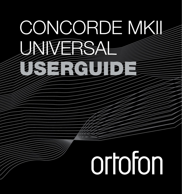## CONCORDE MKII UNIVERSAL USERGUIDE

# ortofon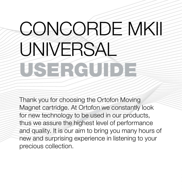### CONCORDE MKII **UNIVERSAL** USERGUIDE

Thank you for choosing the Ortofon Moving Magnet cartridge. At Ortofon we constantly look for new technology to be used in our products, thus we assure the highest level of performance and quality. It is our aim to bring you many hours of new and surprising experience in listening to your precious collection.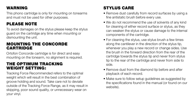#### WARNING

This phono cartridge is only for mounting on tonearms and must not be used for other purposes.

#### PLEASE NOTE

To avoid damages on the stylus please keep the stylus guard on the cartridge any time when mounting or dismounting the unit.

#### MOUNTING THE CONCORDE **CARTRIDGE**

Ortofon Concorde cartridge is for direct and easy mounting on the tonearm, no alignment is required.

#### THE OPTIMUM TRACKING WEIGHT SETTING:

Tracking Force Recommended refers to the optimal weight which will result in the best combination of groove holding and sound. Take care not to deviate outside of the Tracking Force Range, as it may result in skipping, poor sound quality, or unnecessary wear on your vinyl.

#### STYLUS CARE

- Remove dust carefully from record surfaces by using a fine antistatic brush before every use.
- We do not recommend the use of solvents of any kind for cleaning of either record surface or stylus, as they can weaken the stylus or cause damage to the internal components of the cartridge.
- For cleaning the stylus, use stylus brush a few times along the cantilever in the direction of the stylus tip, whenever you play a new record or change sides. Use the brush in the forward direction from the rear of the cartridge towards the stylus tip and never from stylus tip to the rear of the cartridge and never from side to side.
- Remove dust from the diamond tip before and after playback of each record.
- Make sure to follow setup guidelines as suggested by the specifications found in the manual (or found on our website).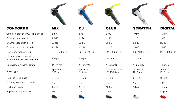| <b>CONCORDE</b>                                             | <b>MIX</b>           | DJ                   | <b>CLUB</b>                        | <b>SCRATCH</b>       | <b>DIGITAL</b>       |
|-------------------------------------------------------------|----------------------|----------------------|------------------------------------|----------------------|----------------------|
| Output voltage at 1,000 Hz, 5 cm/sec.                       | 6 mV                 | 6 mV                 | 8 mV                               | $10 \text{ mV}$      | 10 mV                |
| Channel balance at 1 kHz                                    | $1.5$ dB             | 1 dB                 | 1 dB                               | 1 dB                 | 1 dB                 |
| Channel separation 1 kHz                                    | 20dB                 | 22 dB                | 25dB                               | 22 dB                | 22 dB                |
| Channel separation 15 kHz                                   | 15dB                 | 15dB                 | 15dB                               | 15dB                 | 15dB                 |
| Frequency range at -3 dB                                    | $20 - 20,000$ Hz     | $20 - 20,000$ Hz     | $20 - 20,000$ Hz                   | 20 - 18,000 Hz       | $20 - 18,000$ Hz     |
| Tracking ability at 315 Hz<br>at recommended tracking force | $100 \mu m$          | $100 \mu m$          | 100 um                             | 120 um               | $100 \mu m$          |
| Compliance, dynamic lateral                                 | 14 µm/mN             | 14 µm/mN             | 14 µm/mN                           | 14 um/mN             | 14 µm/mN             |
| Stylus type                                                 | Spherical<br>R 18 µm | Spherical<br>R 18 µm | Special Elliptical<br>r/R 13/25 um | Spherical<br>R 18 µm | Spherical<br>R 18 µm |
| Tracking force range                                        | $2 - 4q$             | $3-5q$               | $2 - 4 g$                          | $3-5q$               | $3-5g$               |
| Tracking force recommended                                  | 3 <sub>g</sub>       | 4 g                  | 3 <sub>g</sub>                     | 4 g                  | 4 g                  |
| Cartridge weight                                            | 18.5 <sub>g</sub>    | 18.5 <sub>g</sub>    | 18.5 <sub>g</sub>                  | 18.5 <sub>q</sub>    | 18.5 <sub>q</sub>    |
| Replacement stylus unit                                     | Mix                  | <b>DJ</b>            | Club                               | Scratch              | Digital              |
|                                                             |                      |                      |                                    |                      |                      |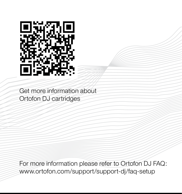

Get more information about Ortofon DJ cartridges

For more information please refer to Ortofon DJ FAQ: www.ortofon.com/support/support-dj/faq-setup